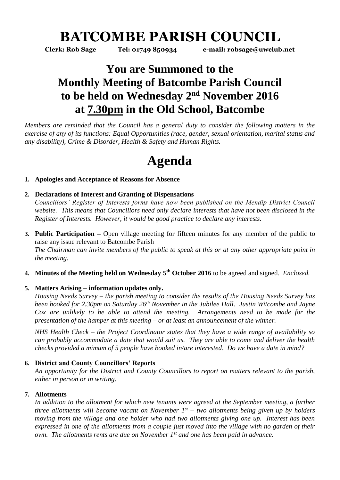## **BATCOMBE PARISH COUNCIL**

**Clerk: Rob Sage Tel: 01749 850934 e-mail: robsage@uwclub.net**

### **You are Summoned to the Monthly Meeting of Batcombe Parish Council to be held on Wednesday 2 nd November 2016 at 7.30pm in the Old School, Batcombe**

*Members are reminded that the Council has a general duty to consider the following matters in the exercise of any of its functions: Equal Opportunities (race, gender, sexual orientation, marital status and any disability), Crime & Disorder, Health & Safety and Human Rights.* 

# **Agenda**

#### **1. Apologies and Acceptance of Reasons for Absence**

#### **2. Declarations of Interest and Granting of Dispensations**

*Councillors' Register of Interests forms have now been published on the Mendip District Council website. This means that Councillors need only declare interests that have not been disclosed in the Register of Interests. However, it would be good practice to declare any interests.*

- **3. Public Participation –** Open village meeting for fifteen minutes for any member of the public to raise any issue relevant to Batcombe Parish *The Chairman can invite members of the public to speak at this or at any other appropriate point in the meeting.*
- **4. Minutes of the Meeting held on Wednesday 5 th October 2016** to be agreed and signed. *Enclosed.*

#### **5. Matters Arising – information updates only.**

*Housing Needs Survey – the parish meeting to consider the results of the Housing Needs Survey has been booked for 2.30pm on Saturday 26th November in the Jubilee Hall. Justin Witcombe and Jayne Cox are unlikely to be able to attend the meeting. Arrangements need to be made for the presentation of the hamper at this meeting – or at least an announcement of the winner.* 

*NHS Health Check – the Project Coordinator states that they have a wide range of availability so can probably accommodate a date that would suit us. They are able to come and deliver the health checks provided a mimum of 5 people have booked in/are interested. Do we have a date in mind?* 

#### **6. District and County Councillors' Reports**

*An opportunity for the District and County Councillors to report on matters relevant to the parish, either in person or in writing.* 

#### **7. Allotments**

In addition to the allotment for which new tenants were agreed at the September meeting, a further *three allotments will become vacant on November 1st – two allotments being given up by holders moving from the village and one holder who had two allotments giving one up. Interest has been expressed in one of the allotments from a couple just moved into the village with no garden of their own. The allotments rents are due on November 1st and one has been paid in advance.*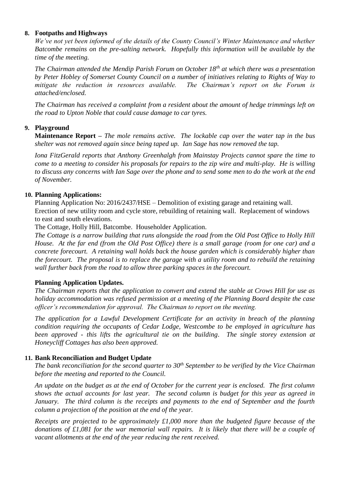#### **8. Footpaths and Highways**

*We've not yet been informed of the details of the County Council's Winter Maintenance and whether Batcombe remains on the pre-salting network. Hopefully this information will be available by the time of the meeting.* 

*The Chairman attended the Mendip Parish Forum on October 18th at which there was a presentation by Peter Hobley of Somerset County Council on a number of initiatives relating to Rights of Way to mitigate the reduction in resources available. The Chairman's report on the Forum is attached/enclosed.* 

*The Chairman has received a complaint from a resident about the amount of hedge trimmings left on the road to Upton Noble that could cause damage to car tyres.* 

#### **9. Playground**

**Maintenance Report –** *The mole remains active. The lockable cap over the water tap in the bus shelter was not removed again since being taped up. Ian Sage has now removed the tap.* 

*Iona FitzGerald reports that Anthony Greenhalgh from Mainstay Projects cannot spare the time to come to a meeting to consider his proposals for repairs to the zip wire and multi-play. He is willing to discuss any concerns with Ian Sage over the phone and to send some men to do the work at the end of November.*

#### **10. Planning Applications:**

Planning Application No: 2016/2437/HSE – Demolition of existing garage and retaining wall. Erection of new utility room and cycle store, rebuilding of retaining wall. Replacement of windows to east and south elevations.

The Cottage, Holly Hill, Batcombe. Householder Application.

*The Cottage is a narrow building that runs alongside the road from the Old Post Office to Holly Hill House. At the far end (from the Old Post Office) there is a small garage (room for one car) and a concrete forecourt. A retaining wall holds back the house garden which is considerably higher than the forecourt. The proposal is to replace the garage with a utility room and to rebuild the retaining wall further back from the road to allow three parking spaces in the forecourt.* 

#### **Planning Application Updates.**

*The Chairman reports that the application to convert and extend the stable at Crows Hill for use as holiday accommodation was refused permission at a meeting of the Planning Board despite the case officer's recommendation for approval. The Chairman to report on the meeting.*

*The application for a Lawful Development Certificate for an activity in breach of the planning condition requiring the occupants of Cedar Lodge, Westcombe to be employed in agriculture has been approved - this lifts the agricultural tie on the building. The single storey extension at Honeycliff Cottages has also been approved.* 

#### **11. Bank Reconciliation and Budget Update**

*The bank reconciliation for the second quarter to 30th September to be verified by the Vice Chairman before the meeting and reported to the Council.* 

*An update on the budget as at the end of October for the current year is enclosed. The first column shows the actual accounts for last year. The second column is budget for this year as agreed in January. The third column is the receipts and payments to the end of September and the fourth column a projection of the position at the end of the year.* 

*Receipts are projected to be approximately £1,000 more than the budgeted figure because of the donations of £1,081 for the war memorial wall repairs. It is likely that there will be a couple of vacant allotments at the end of the year reducing the rent received.*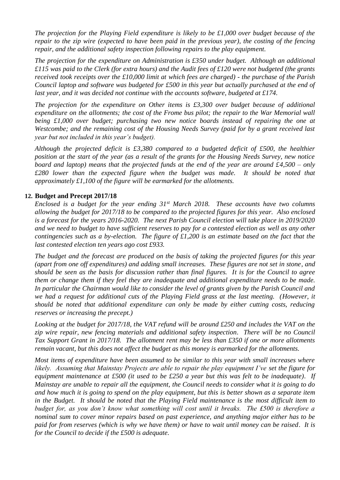*The projection for the Playing Field expenditure is likely to be £1,000 over budget because of the repair to the zip wire (expected to have been paid in the previous year), the costing of the fencing repair, and the additional safety inspection following repairs to the play equipment.* 

*The projection for the expenditure on Administration is £350 under budget. Although an additional £115 was paid to the Clerk (for extra hours) and the Audit fees of £120 were not budgeted (the grants received took receipts over the £10,000 limit at which fees are charged) - the purchase of the Parish Council laptop and software was budgeted for £500 in this year but actually purchased at the end of last year, and it was decided not continue with the accounts software, budgeted at £174.*

*The projection for the expenditure on Other items is £3,300 over budget because of additional expenditure on the allotments; the cost of the Frome bus pilot; the repair to the War Memorial wall being £1,000 over budget; purchasing two new notice boards instead of repairing the one at Westcombe; and the remaining cost of the Housing Needs Survey (paid for by a grant received last year but not included in this year's budget).*

*Although the projected deficit is £3,380 compared to a budgeted deficit of £500, the healthier position at the start of the year (as a result of the grants for the Housing Needs Survey, new notice board and laptop) means that the projected funds at the end of the year are around £4,500 – only £280 lower than the expected figure when the budget was made. It should be noted that approximately £1,100 of the figure will be earmarked for the allotments.* 

#### **12. Budget and Precept 2017/18**

*Enclosed is a budget for the year ending 31st March 2018. These accounts have two columns allowing the budget for 2017/18 to be compared to the projected figures for this year. Also enclosed is a forecast for the years 2016-2020. The next Parish Council election will take place in 2019/2020 and we need to budget to have sufficient reserves to pay for a contested election as well as any other contingencies such as a by-election. The figure of £1,200 is an estimate based on the fact that the last contested election ten years ago cost £933.*

*The budget and the forecast are produced on the basis of taking the projected figures for this year (apart from one off expenditures) and adding small increases. These figures are not set in stone, and should be seen as the basis for discussion rather than final figures. It is for the Council to agree them or change them if they feel they are inadequate and additional expenditure needs to be made. In particular the Chairman would like to consider the level of grants given by the Parish Council and we had a request for additional cuts of the Playing Field grass at the last meeting. (However, it should be noted that additional expenditure can only be made by either cutting costs, reducing reserves or increasing the precept.)* 

*Looking at the budget for 2017/18, the VAT refund will be around £250 and includes the VAT on the zip wire repair, new fencing materials and additional safety inspection. There will be no Council Tax Support Grant in 2017/18. The allotment rent may be less than £350 if one or more allotments remain vacant, but this does not affect the budget as this money is earmarked for the allotments.* 

*Most items of expenditure have been assumed to be similar to this year with small increases where likely. Assuming that Mainstay Projects are able to repair the play equipment I've set the figure for equipment maintenance at £500 (it used to be £250 a year but this was felt to be inadequate). If Mainstay are unable to repair all the equipment, the Council needs to consider what it is going to do and how much it is going to spend on the play equipment, but this is better shown as a separate item in the Budget. It should be noted that the Playing Field maintenance is the most difficult item to budget for, as you don't know what something will cost until it breaks. The £500 is therefore a nominal sum to cover minor repairs based on past experience, and anything major either has to be paid for from reserves (which is why we have them) or have to wait until money can be raised. It is for the Council to decide if the £500 is adequate.*